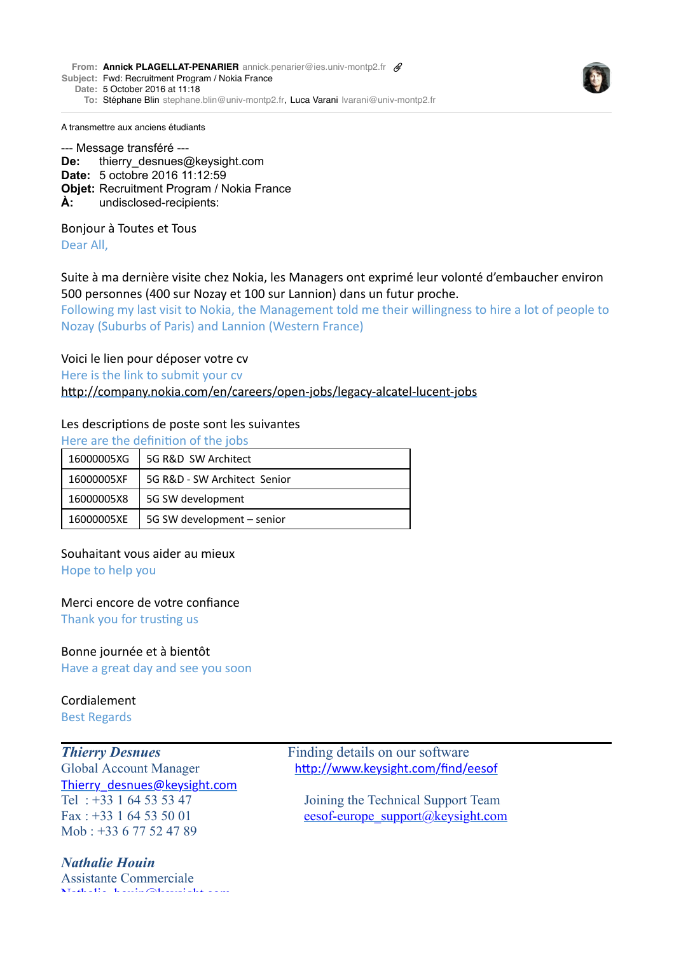**From: Annick [PLAGELLAT-PENARIER](mailto:PLAGELLAT-PENARIERannick.penarier@ies.univ-montp2.fr)** [annick.penarier@ies.univ-montp2.fr](mailto:PLAGELLAT-PENARIERannick.penarier@ies.univ-montp2.fr) **Subject:** Fwd: Recruitment Program / Nokia France



**To:** Stéphane [Blin](mailto:Blinstephane.blin@univ-montp2.fr) [stephane.blin@univ-montp2.fr,](mailto:Blinstephane.blin@univ-montp2.fr) Luca [Varani](mailto:Varanilvarani@univ-montp2.fr) [lvarani@univ-montp2.fr](mailto:Varanilvarani@univ-montp2.fr)

A transmettre aux anciens étudiants

--- Message transféré --- **De:** thierry desnues@keysight.com **Date:** 5 octobre 2016 11:12:59 **Objet:** Recruitment Program / Nokia France **À:** undisclosed-recipients:

Bonjour à Toutes et Tous Dear All.

Suite à ma dernière visite chez Nokia, les Managers ont exprimé leur volonté d'embaucher environ 500 personnes (400 sur Nozay et 100 sur Lannion) dans un futur proche.

Following my last visit to Nokia, the Management told me their willingness to hire a lot of people to Nozay (Suburbs of Paris) and Lannion (Western France)

Voici le lien pour déposer votre cv

Here is the link to submit your cv

http://company.nokia.com/en/careers/open-jobs/legacy-alcatel-lucent-jobs

## Les descriptions de poste sont les suivantes

Here are the definition of the jobs

| 16000005XG | 5G R&D SW Architect          |
|------------|------------------------------|
| 16000005XF | 5G R&D - SW Architect Senior |
| 16000005X8 | 5G SW development            |
| 16000005XE | 5G SW development - senior   |

Souhaitant vous aider au mieux

Hope to help you

Merci encore de votre confiance

Thank you for trusting us

# Bonne journée et à bientôt

Have a great day and see you soon

### Cordialement Best Regards

[Thierry\\_desnues@keysight.com](mailto:Thierry_desnues@keysight.com) Mob : +33 6 77 52 47 89

# *Nathalie Houin*

Assistante Commerciale [Nathalie\\_houin@keysight.com](mailto:Nathalie_houin@keysight.com) 

*Thierry Desnues* Finding details on our software Global Account Manager http://www.keysight.com/find/eesof

Tel : +33 1 64 53 53 47 Joining the Technical Support Team Fax : +33 1 64 53 50 01 eesof-europe\_support $(a)$ keysight.com